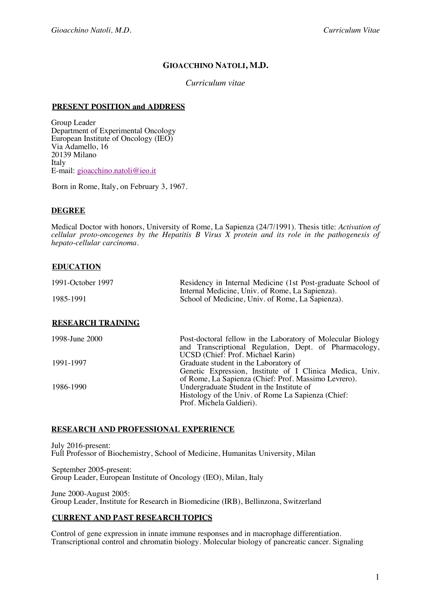# **GIOACCHINO NATOLI, M.D.**

### *Curriculum vitae*

#### **PRESENT POSITION and ADDRESS**

Group Leader Department of Experimental Oncology European Institute of Oncology (IEO) Via Adamello, 16 20139 Milano Italy E-mail: gioacchino.natoli@ieo.it

Born in Rome, Italy, on February 3, 1967.

#### **DEGREE**

Medical Doctor with honors, University of Rome, La Sapienza (24/7/1991). Thesis title: *Activation of cellular proto-oncogenes by the Hepatitis B Virus X protein and its role in the pathogenesis of hepato-cellular carcinoma.*

### **EDUCATION**

| 1991-October 1997 | Residency in Internal Medicine (1st Post-graduate School of<br>Internal Medicine, Univ. of Rome, La Sapienza). |  |  |
|-------------------|----------------------------------------------------------------------------------------------------------------|--|--|
| 1985-1991         | School of Medicine, Univ. of Rome, La Sapienza).                                                               |  |  |
|                   |                                                                                                                |  |  |

# **RESEARCH TRAINING**

| 1998-June 2000 | Post-doctoral fellow in the Laboratory of Molecular Biology |
|----------------|-------------------------------------------------------------|
|                | and Transcriptional Regulation, Dept. of Pharmacology,      |
|                | UCSD (Chief: Prof. Michael Karin)                           |
| 1991-1997      | Graduate student in the Laboratory of                       |
|                | Genetic Expression, Institute of I Clinica Medica, Univ.    |
|                | of Rome, La Sapienza (Chief: Prof. Massimo Levrero).        |
| 1986-1990      | Undergraduate Student in the Institute of                   |
|                | Histology of the Univ. of Rome La Sapienza (Chief:          |
|                | Prof. Michela Galdieri).                                    |
|                |                                                             |

#### **RESEARCH AND PROFESSIONAL EXPERIENCE**

July 2016-present: Full Professor of Biochemistry, School of Medicine, Humanitas University, Milan

September 2005-present: Group Leader, European Institute of Oncology (IEO), Milan, Italy

June 2000-August 2005: Group Leader, Institute for Research in Biomedicine (IRB), Bellinzona, Switzerland

#### **CURRENT AND PAST RESEARCH TOPICS**

Control of gene expression in innate immune responses and in macrophage differentiation. Transcriptional control and chromatin biology. Molecular biology of pancreatic cancer. Signaling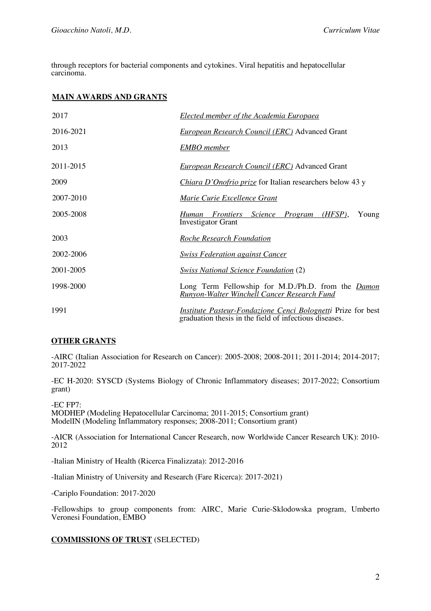through receptors for bacterial components and cytokines. Viral hepatitis and hepatocellular carcinoma.

### **MAIN AWARDS AND GRANTS**

| 2017      | <b>Elected member of the Academia Europaea</b>                                                                                |
|-----------|-------------------------------------------------------------------------------------------------------------------------------|
| 2016-2021 | <b>European Research Council (ERC)</b> Advanced Grant                                                                         |
| 2013      | <b>EMBO</b> member                                                                                                            |
| 2011-2015 | <b>European Research Council (ERC)</b> Advanced Grant                                                                         |
| 2009      | Chiara D'Onofrio prize for Italian researchers below 43 y                                                                     |
| 2007-2010 | Marie Curie Excellence Grant                                                                                                  |
| 2005-2008 | Young<br>Science Program<br>$(HFSP)$ ,<br>Human Frontiers<br><b>Investigator Grant</b>                                        |
| 2003      | <b>Roche Research Foundation</b>                                                                                              |
| 2002-2006 | <b>Swiss Federation against Cancer</b>                                                                                        |
| 2001-2005 | <b>Swiss National Science Foundation (2)</b>                                                                                  |
| 1998-2000 | Long Term Fellowship for M.D./Ph.D. from the <i>Damon</i><br><b>Runyon-Walter Winchell Cancer Research Fund</b>               |
| 1991      | <i>Institute Pasteur-Fondazione Cenci Bolognetti</i> Prize for best<br>graduation thesis in the field of infectious diseases. |

#### **OTHER GRANTS**

-AIRC (Italian Association for Research on Cancer): 2005-2008; 2008-2011; 2011-2014; 2014-2017; 2017-2022

-EC H-2020: SYSCD (Systems Biology of Chronic Inflammatory diseases; 2017-2022; Consortium grant)

-EC FP7: MODHEP (Modeling Hepatocellular Carcinoma; 2011-2015; Consortium grant) ModelIN (Modeling Inflammatory responses; 2008-2011; Consortium grant)

-AICR (Association for International Cancer Research, now Worldwide Cancer Research UK): 2010- 2012

-Italian Ministry of Health (Ricerca Finalizzata): 2012-2016

-Italian Ministry of University and Research (Fare Ricerca): 2017-2021)

-Cariplo Foundation: 2017-2020

-Fellowships to group components from: AIRC, Marie Curie-Sklodowska program, Umberto Veronesi Foundation, EMBO

### **COMMISSIONS OF TRUST** (SELECTED)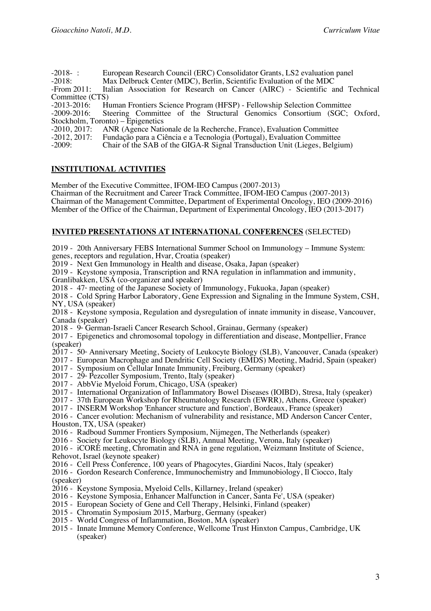| $-2018-$ :                        | European Research Council (ERC) Consolidator Grants, LS2 evaluation panel    |  |
|-----------------------------------|------------------------------------------------------------------------------|--|
| $-2018$ :                         | Max Delbruck Center (MDC), Berlin, Scientific Evaluation of the MDC          |  |
| $-$ From 2011:                    | Italian Association for Research on Cancer (AIRC) - Scientific and Technical |  |
| Committee (CTS)                   |                                                                              |  |
| $-2013 - 2016$ :                  | Human Frontiers Science Program (HFSP) - Fellowship Selection Committee      |  |
| $-2009 - 2016$                    | Steering Committee of the Structural Genomics Consortium (SGC; Oxford,       |  |
| Stockholm, Toronto) – Epigenetics |                                                                              |  |
| $-2010, 2017$ :                   | ANR (Agence Nationale de la Recherche, France), Evaluation Committee         |  |
| $-2012, 2017$ :                   | Fundação para a Ciência e a Tecnologia (Portugal), Evaluation Committee      |  |
| $-2009:$                          | Chair of the SAB of the GIGA-R Signal Transduction Unit (Lieges, Belgium)    |  |
|                                   |                                                                              |  |
|                                   |                                                                              |  |

# **INSTITUTIONAL ACTIVITIES**

Member of the Executive Committee, IFOM-IEO Campus (2007-2013) Chairman of the Recruitment and Career Track Committee, IFOM-IEO Campus (2007-2013) Chairman of the Management Committee, Department of Experimental Oncology, IEO (2009-2016) Member of the Office of the Chairman, Department of Experimental Oncology, IEO (2013-2017)

### **INVITED PRESENTATIONS AT INTERNATIONAL CONFERENCES** (SELECTED)

2019 - 20th Anniversary FEBS International Summer School on Immunology – Immune System: genes, receptors and regulation, Hvar, Croatia (speaker)

2019 - Next Gen Immunology in Health and disease, Osaka, Japan (speaker)

2019 - Keystone symposia, Transcription and RNA regulation in inflammation and immunity,

Granlibakken, USA (co-organizer and speaker)

2018 -  $47<sup>*</sup>$  meeting of the Japanese Society of Immunology, Fukuoka, Japan (speaker)

2018 - Cold Spring Harbor Laboratory, Gene Expression and Signaling in the Immune System, CSH, NY, USA (speaker)

2018 - Keystone symposia, Regulation and dysregulation of innate immunity in disease, Vancouver, Canada (speaker)

2018 - 9<sup>th</sup> German-Israeli Cancer Research School, Grainau, Germany (speaker)

2017 - Epigenetics and chromosomal topology in differentiation and disease, Montpellier, France (speaker)

 $2017 - 50$ <sup>th</sup> Anniversary Meeting, Society of Leukocyte Biology (SLB), Vancouver, Canada (speaker)

2017 - European Macrophage and Dendritic Cell Society (EMDS) Meeting, Madrid, Spain (speaker)

- 2017 Symposium on Cellular Innate Immunity, Freiburg, Germany (speaker)
- $2017 29$ <sup>a</sup> Pezcoller Symposium, Trento, Italy (speaker)
- 2017 AbbVie Myeloid Forum, Chicago, USA (speaker)
- 2017 International Organization of Inflammatory Bowel Diseases (IOIBD), Stresa, Italy (speaker)

2017 - 37th European Workshop for Rheumatology Research (EWRR), Athens, Greece (speaker)

2017 - INSERM Workshop 'Enhancer structure and function', Bordeaux, France (speaker)

2016 - Cancer evolution: Mechanism of vulnerability and resistance, MD Anderson Cancer Center, Houston, TX, USA (speaker)

2016 - Radboud Summer Frontiers Symposium, Nijmegen, The Netherlands (speaker)

2016 - Society for Leukocyte Biology (SLB), Annual Meeting, Verona, Italy (speaker)

2016 - iCORE meeting, Chromatin and RNA in gene regulation, Weizmann Institute of Science,

Rehovot, Israel (keynote speaker)

2016 - Cell Press Conference, 100 years of Phagocytes, Giardini Nacos, Italy (speaker)

2016 - Gordon Research Conference, Immunochemistry and Immunobiology, Il Ciocco, Italy (speaker)

 $2016$  - Keystone Symposia, Myeloid Cells, Killarney, Ireland (speaker)

- 2016 Keystone Symposia, Enhancer Malfunction in Cancer, Santa Fe', USA (speaker)
- 2015 European Society of Gene and Cell Therapy, Helsinki, Finland (speaker)
- 2015 Chromatin Symposium 2015, Marburg, Germany (speaker)
- 2015 World Congress of Inflammation, Boston, MA (speaker)
- 2015 Innate Immune Memory Conference, Wellcome Trust Hinxton Campus, Cambridge, UK (speaker)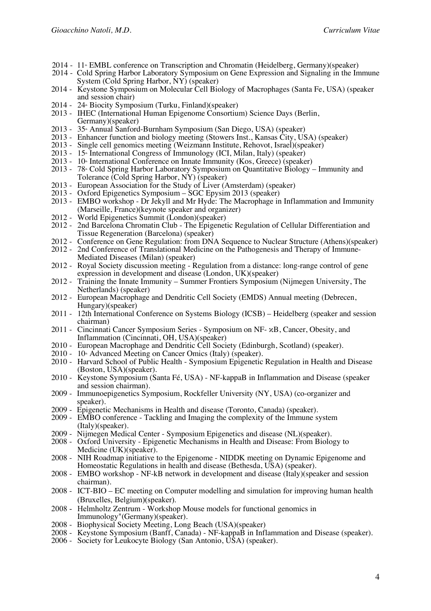- $2014$   $11$ <sup>\*</sup> EMBL conference on Transcription and Chromatin (Heidelberg, Germany)(speaker)
- 2014 Cold Spring Harbor Laboratory Symposium on Gene Expression and Signaling in the Immune System (Cold Spring Harbor, NY) (speaker)
- 2014 Keystone Symposium on Molecular Cell Biology of Macrophages (Santa Fe, USA) (speaker and session chair)
- $2014$   $24$ <sup>th</sup> Biocity Symposium (Turku, Finland)(speaker)
- 2013 IHEC (International Human Epigenome Consortium) Science Days (Berlin, Germany)(speaker)
- 2013 35<sup>th</sup> Annual Sanford-Burnham Symposium (San Diego, USA) (speaker)
- 2013 Enhancer function and biology meeting (Stowers Inst., Kansas City, USA) (speaker)
- 2013 Single cell genomics meeting (Weizmann Institute, Rehovot, Israel)(speaker)
- 2013  $15^{\circ}$  International Congress of Immunology (ICI, Milan, Italy) (speaker)
- $2013 10$  International Conference on Innate Immunity (Kos, Greece) (speaker)
- 2013 78<sup>th</sup> Cold Spring Harbor Laboratory Symposium on Quantitative Biology Immunity and Tolerance (Cold Spring Harbor, NY) (speaker)
- 2013 European Association for the Study of Liver (Amsterdam) (speaker)
- 2013 Oxford Epigenetics Symposium SGC Epysim 2013 (speaker)
- 2013 EMBO workshop Dr Jekyll and Mr Hyde: The Macrophage in Inflammation and Immunity (Marseille, France)(keynote speaker and organizer)
- 2012 World Epigenetics Summit (London)(speaker)
- 2012 2nd Barcelona Chromatin Club The Epigenetic Regulation of Cellular Differentiation and Tissue Regeneration (Barcelona) (speaker)
- 2012 Conference on Gene Regulation: from DNA Sequence to Nuclear Structure (Athens)(speaker)
- 2012 2nd Conference of Translational Medicine on the Pathogenesis and Therapy of Immune- Mediated Diseases (Milan) (speaker)
- 2012 Royal Society discussion meeting Regulation from a distance: long-range control of gene expression in development and disease (London, UK)(speaker)
- 2012 Training the Innate Immunity Summer Frontiers Symposium (Nijmegen University, The Netherlands) (speaker)
- 2012 European Macrophage and Dendritic Cell Society (EMDS) Annual meeting (Debrecen, Hungary)(speaker)
- 2011 12th International Conference on Systems Biology (ICSB) Heidelberg (speaker and session chairman)
- 2011 Cincinnati Cancer Symposium Series Symposium on NF- κB, Cancer, Obesity, and Inflammation (Cincinnati, OH, USA)(speaker)
- 2010 European Macrophage and Dendritic Cell Society (Edinburgh, Scotland) (speaker).
- 2010  $10<sup>*</sup>$  Advanced Meeting on Cancer Omics (Italy) (speaker).
- 2010 Harvard School of Public Health Symposium Epigenetic Regulation in Health and Disease (Boston, USA)(speaker).
- 2010 Keystone Symposium (Santa Fé, USA) NF-kappaB in Inflammation and Disease (speaker and session chairman).
- 2009 Immunoepigenetics Symposium, Rockfeller University (NY, USA) (co-organizer and speaker).
- 2009 Epigenetic Mechanisms in Health and disease (Toronto, Canada) (speaker).
- 2009 EMBO conference Tackling and Imaging the complexity of the Immune system (Italy)(speaker).
- 2009 Nijmegen Medical Center Symposium Epigenetics and disease (NL)(speaker).
- 2008 Oxford University Epigenetic Mechanisms in Health and Disease: From Biology to Medicine (UK)(speaker).
- 2008 NIH Roadmap initiative to the Epigenome NIDDK meeting on Dynamic Epigenome and Homeostatic Regulations in health and disease (Bethesda, USA) (speaker).
- 2008 EMBO workshop NF-kB network in development and disease (Italy)(speaker and session chairman).
- 2008 ICT-BIO EC meeting on Computer modelling and simulation for improving human health (Bruxelles, Belgium)(speaker).
- 2008 Helmholtz Zentrum Workshop Mouse models for functional genomics in Immunology"(Germany)(speaker).
- 2008 Biophysical Society Meeting, Long Beach (USA)(speaker)
- 2008 Keystone Symposium (Banff, Canada) NF-kappaB in Inflammation and Disease (speaker).
- 2006 Society for Leukocyte Biology (San Antonio, USA) (speaker).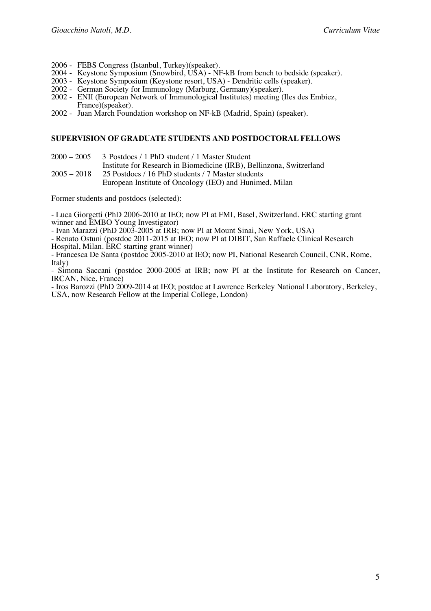- 2006 FEBS Congress (Istanbul, Turkey)(speaker).
- 2004 Keystone Symposium (Snowbird, USA) NF-kB from bench to bedside (speaker).
- 2003 Keystone Symposium (Keystone resort, USA) Dendritic cells (speaker).
- 2002 German Society for Immunology (Marburg, Germany)(speaker).
- 2002 ENII (European Network of Immunological Institutes) meeting (Iles des Embiez, France)(speaker).
- 2002 Juan March Foundation workshop on NF-kB (Madrid, Spain) (speaker).

#### **SUPERVISION OF GRADUATE STUDENTS AND POSTDOCTORAL FELLOWS**

- 2000 2005 3 Postdocs / 1 PhD student / 1 Master Student
- Institute for Research in Biomedicine (IRB), Bellinzona, Switzerland
- 2005 2018 25 Postdocs / 16 PhD students / 7 Master students
	- European Institute of Oncology (IEO) and Hunimed, Milan

Former students and postdocs (selected):

- Luca Giorgetti (PhD 2006-2010 at IEO; now PI at FMI, Basel, Switzerland. ERC starting grant winner and EMBO Young Investigator)<br>- Ivan Marazzi (PhD 2003-2005 at IRB; now PI at Mount Sinai, New York, USA)

- Renato Ostuni (postdoc 2011-2015 at IEO; now PI at DIBIT, San Raffaele Clinical Research Hospital, Milan. ERC starting grant winner)

- Francesca De Santa (postdoc 2005-2010 at IEO; now PI, National Research Council, CNR, Rome, Italy)

- Simona Saccani (postdoc 2000-2005 at IRB; now PI at the Institute for Research on Cancer, IRCAN, Nice, France)

- Iros Barozzi (PhD 2009-2014 at IEO; postdoc at Lawrence Berkeley National Laboratory, Berkeley, USA, now Research Fellow at the Imperial College, London)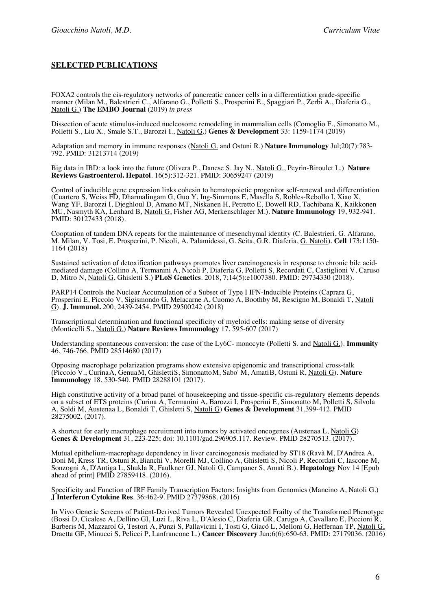### **SELECTED PUBLICATIONS**

FOXA2 controls the cis-regulatory networks of pancreatic cancer cells in a differentiation grade-specific manner (Milan M., Balestrieri C., Alfarano G., Polletti S., Prosperini E., Spaggiari P., Zerbi A., Diaferia G., Natoli G.) **The EMBO Journal** (2019) *in press*

Dissection of acute stimulus-induced nucleosome remodeling in mammalian cells (Comoglio F., Simonatto M., Polletti S., Liu X., Smale S.T., Barozzi I., Natoli G.) **Genes & Development** 33: 1159-1174 (2019)

Adaptation and memory in immune responses (Natoli G. and Ostuni R.) **Nature Immunology** Jul;20(7):783- 792. PMID: 31213714 (2019)

Big data in IBD: a look into the future (Olivera P., Danese S. Jay N., Natoli G., Peyrin-Biroulet L.) **Nature Reviews Gastroenterol. Hepatol**. 16(5):312-321. PMID: 30659247 (2019)

Control of inducible gene expression links cohesin to hematopoietic progenitor self-renewal and differentiation (Cuartero S, Weiss FD, Dharmalingam G, Guo Y, Ing-Simmons E, Masella S, Robles-Rebollo I, Xiao X, Wang YF, Barozzi I, Djeghloul D, Amano MT, Niskanen H, Petretto E, Dowell RD, Tachibana K, Kaikkonen MU, Nasmyth KA, Lenhard B, Natoli G, Fisher AG, Merkenschlager M.). **Nature Immunology** 19, 932-941. PMID: 30127433 (2018).

Cooptation of tandem DNA repeats for the maintenance of mesenchymal identity (C. Balestrieri, G. Alfarano, M. Milan, V. Tosi, E. Prosperini, P. Nicoli, A. Palamidessi, G. Scita, G.R. Diaferia, G. Natoli). **Cell** 173:1150- 1164 (2018)

Sustained activation of detoxification pathways promotes liver carcinogenesis in response to chronic bile acidmediated damage (Collino A, Termanini A, Nicoli P, Diaferia G, Polletti S, Recordati C, Castiglioni V, Caruso D, Mitro N, Natoli G, Ghisletti S.) **PLoS Genetics**. 2018, 7;14(5):e1007380. PMID: 29734330 (2018).

PARP14 Controls the Nuclear Accumulation of a Subset of Type I IFN-Inducible Proteins (Caprara G, Prosperini E, Piccolo V, Sigismondo G, Melacarne A, Cuomo A, Boothby M, Rescigno M, Bonaldi T, Natoli G). **J. Immunol.** 200, 2439-2454. PMID 29500242 (2018)

Transcriptional determination and functional specificity of myeloid cells: making sense of diversity (Monticelli S., Natoli G.) **Nature Reviews Immunology** 17, 595-607 (2017)

Understanding spontaneous conversion: the case of the Ly6C- monocyte (Polletti S. and Natoli G.). **Immunity** 46, 746-766. PMID 28514680 (2017)

Opposing macrophage polarization programs show extensive epigenomic and transcriptional cross-talk (Piccolo V., CurinaA, GenuaM, GhislettiS, SimonattoM, Sabo' M, AmatiB, Ostuni R, Natoli G). **Nature Immunology** 18, 530-540. PMID 28288101 (2017).

High constitutive activity of a broad panel of housekeeping and tissue-specific cis-regulatory elements depends on a subset of ETS proteins (Curina A, Termanini A, Barozzi I, Prosperini E, Simonatto M, Polletti S, Silvola A, Soldi M, Austenaa L, Bonaldi T, Ghisletti S, Natoli G) **Genes & Development** 31,399-412. PMID 28275002. (2017).

A shortcut for early macrophage recruitment into tumors by activated oncogenes (Austenaa L, Natoli G) **Genes & Development** 31, 223-225; doi: 10.1101/gad.296905.117. Review. PMID 28270513. (2017).

Mutual epithelium-macrophage dependency in liver carcinogenesis mediated by ST18 (Ravà M, D'Andrea A, Doni M, Kress TR, Ostuni R, Bianchi V, Morelli MJ, Collino A, Ghisletti S, Nicoli P, Recordati C, Iascone M, Sonzogni A, D'Antiga L, Shukla R, Faulkner GJ, Natoli G, Campaner S, Amati B.). **Hepatology** Nov 14 [Epub ahead of print] PMID 27859418. (2016).

Specificity and Function of IRF Family Transcription Factors: Insights from Genomics (Mancino A, Natoli G.) **J Interferon Cytokine Res**. 36:462-9. PMID 27379868. (2016)

In Vivo Genetic Screens of Patient-Derived Tumors Revealed Unexpected Frailty of the Transformed Phenotype (Bossi D, Cicalese A, Dellino GI, Luzi L, Riva L, D'Alesio C, Diaferia GR, Carugo A, Cavallaro E, Piccioni R, Barberis M, Mazzarol G, Testori A, Punzi S, Pallavicini I, Tosti G, Giacó L, Melloni G, Heffernan TP, Natoli G, Draetta GF, Minucci S, Pelicci P, Lanfrancone L.) **Cancer Discovery** Jun;6(6):650-63. PMID: 27179036. (2016)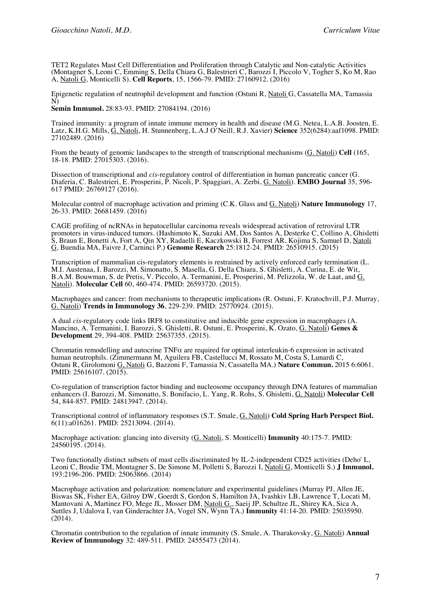TET2 Regulates Mast Cell Differentiation and Proliferation through Catalytic and Non-catalytic Activities (Montagner S, Leoni C, Emming S, Della Chiara G, Balestrieri C, Barozzi I, Piccolo V, Togher S, Ko M, Rao A, Natoli G, Monticelli S). **Cell Reports**, 15, 1566-79. PMID: 27160912. (2016)

Epigenetic regulation of neutrophil development and function (Ostuni R, Natoli G, Cassatella MA, Tamassia N)

**Semin Immunol.** 28:83-93. PMID: 27084194. (2016)

Trained immunity: a program of innate immune memory in health and disease (M.G. Netea, L.A.B. Joosten, E. Latz, K.H.G. Mills, G. Natoli, H. Stunnenberg, L.A.J O'Neill, R.J. Xavier) **Science** 352(6284):aaf1098. PMID: 27102489. (2016)

From the beauty of genomic landscapes to the strength of transcriptional mechanisms (G. Natoli) **Cell** (165, 18-18. PMID: 27015303. (2016).

Dissection of transcriptional and *cis*-regulatory control of differentiation in human pancreatic cancer (G. Diaferia, C. Balestrieri, E. Prosperini, P. Nicoli, P. Spaggiari, A. Zerbi, G. Natoli). **EMBO Journal** 35, 596- 617 PMID: 26769127 (2016).

Molecular control of macrophage activation and priming (C.K. Glass and G. Natoli) **Nature Immunology** 17, 26-33. PMID: 26681459. (2016)

CAGE profiling of ncRNAs in hepatocellular carcinoma reveals widespread activation of retroviral LTR promoters in virus-induced tumors. (Hashimoto K, Suzuki AM, Dos Santos A, Desterke C, Collino A, Ghisletti S, Braun E, Bonetti A, Fort A, Qin XY, Radaelli E, Kaczkowski B, Forrest AR, Kojima S, Samuel D, <u>Natoli</u> G, Buendia MA, Faivre J, Carninci P.) **Genome Research** 25:1812-24. PMID: 26510915. (2015)

Transcription of mammalian cis-regulatory elements is restrained by actively enforced early termination (L. M.I. Austenaa, I. Barozzi, M. Simonatto, S. Masella, G. Della Chiara, S. Ghisletti, A. Curina, E. de Wit, B.A.M. Bouwman, S. de Pretis, V. Piccolo, A. Termanini, E. Prosperini, M. Pelizzola, W. de Laat, and G. Natoli). **Molecular Cell** 60, 460-474. PMID: 26593720. (2015).

Macrophages and cancer: from mechanisms to therapeutic implications (R. Ostuni, F. Kratochvill, P.J. Murray, G. Natoli) **Trends in Immunology 36**, 229-239. PMID: 25770924. (2015).

A dual *cis*-regulatory code links IRF8 to constitutive and inducible gene expression in macrophages (A. Mancino, A. Termanini, I. Barozzi, S. Ghisletti, R. Ostuni, E. Prosperini, K. Ozato, G. Natoli) **Genes & Development** 29, 394-408. PMID: 25637355. (2015).

Chromatin remodelling and autocrine TNF $\alpha$  are required for optimal interleukin-6 expression in activated human neutrophils. (Zimmermann M, Aguilera FB, Castellucci M, Rossato M, Costa S, Lunardi C, Ostuni R, Girolomoni G, Natoli G, Bazzoni F, Tamassia N, Cassatella MA.) **Nature Commun.** 2015 6:6061. PMID: 25616107. (2015).

Co-regulation of transcription factor binding and nucleosome occupancy through DNA features of mammalian enhancers (I. Barozzi, M. Simonatto, S. Bonifacio, L. Yang, R. Rohs, S. Ghisletti, G. Natoli) **Molecular Cell** 54, 844-857. PMID: 24813947. (2014).

Transcriptional control of inflammatory responses (S.T. Smale, G. Natoli) **Cold Spring Harb Perspect Biol.** 6(11):a016261. PMID: 25213094. (2014).

Macrophage activation: glancing into diversity (G. Natoli, S. Monticelli) **Immunity** 40:175-7. PMID: 24560195. (2014).

Two functionally distinct subsets of mast cells discriminated by IL-2-independent CD25 activities (Deho' L, Leoni C, Brodie TM, Montagner S, De Simone M, Polletti S, Barozzi I, Natoli G, Monticelli S.) **J Immunol.** 193:2196-206. PMID: 25063866. (2014)

Macrophage activation and polarization: nomenclature and experimental guidelines (Murray PJ, Allen JE, Biswas SK, Fisher EA, Gilroy DW, Goerdt S, Gordon S, Hamilton JA, Ivashkiv LB, Lawrence T, Locati M, Mantovani A, Martinez FO, Mege JL, Mosser DM, Natoli G., Saeij JP, Schultze JL, Shirey KA, Sica A, Suttles J, Udalova I, van Ginderachter JA, Vogel SN, Wynn TA.) **Immunity** 41:14-20. PMID: 25035950. (2014).

Chromatin contribution to the regulation of innate immunity (S. Smale, A. Tharakovsky, G. Natoli) **Annual Review of Immunology** 32: 489-511. PMID: 24555473 (2014).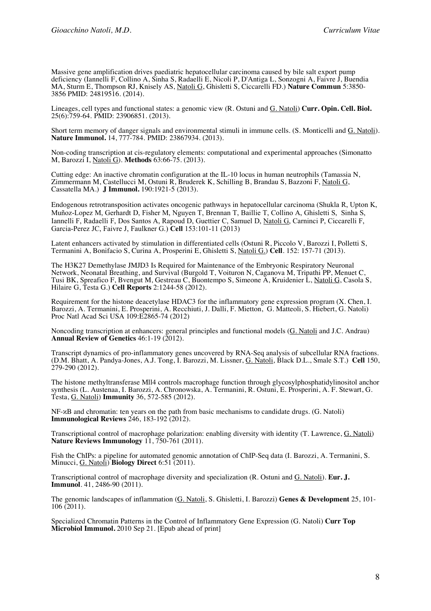Massive gene amplification drives paediatric hepatocellular carcinoma caused by bile salt export pump deficiency (Iannelli F, Collino A, Sinha S, Radaelli E, Nicoli P, D'Antiga L, Sonzogni A, Faivre J, Buendia MA, Sturm E, Thompson RJ, Knisely AS, Natoli G, Ghisletti S, Ciccarelli FD.) **Nature Commun** 5:3850- 3856 PMID: 24819516. (2014).

Lineages, cell types and functional states: a genomic view (R. Ostuni and G. Natoli) **Curr. Opin. Cell. Biol.** 25(6):759-64. PMID: 23906851. (2013).

Short term memory of danger signals and environmental stimuli in immune cells. (S. Monticelli and G. Natoli). **Nature Immunol.** 14, 777-784. PMID: 23867934. (2013).

Non-coding transcription at cis-regulatory elements: computational and experimental approaches (Simonatto M, Barozzi I, Natoli G). **Methods** 63:66-75. (2013).

Cutting edge: An inactive chromatin configuration at the IL-10 locus in human neutrophils (Tamassia N, Zimmermann M, Castellucci M, Ostuni R, Bruderek K, Schilling B, Brandau S, Bazzoni F, Natoli G, Cassatella MA.) **J Immunol.** 190:1921-5 (2013).

Endogenous retrotransposition activates oncogenic pathways in hepatocellular carcinoma (Shukla R, Upton K, Muñoz-Lopez M, Gerhardt D, Fisher M, Nguyen T, Brennan T, Baillie T, Collino A, Ghisletti S, Sinha S, Iannelli F, Radaelli F, Dos Santos A, Rapoud D, Guettier C, Samuel D, Natoli G, Carninci P, Ciccarelli F, Garcia-Perez JC, Faivre J, Faulkner G.) **Cell** 153:101-11 (2013)

Latent enhancers activated by stimulation in differentiated cells (Ostuni R, Piccolo V, Barozzi I, Polletti S, Termanini A, Bonifacio S, Curina A, Prosperini E, Ghisletti S, Natoli G.) **Cell**. 152: 157-71 (2013).

The H3K27 Demethylase JMJD3 Is Required for Maintenance of the Embryonic Respiratory Neuronal Network, Neonatal Breathing, and Survival (Burgold T, Voituron N, Caganova M, Tripathi PP, Menuet C, Tusi BK, Spreafico F, Bvengut M, Gestreau C, Buontempo S, Simeone A, Kruidenier L, Natoli G, Casola S, Hilaire G, Testa G.) **Cell Reports** 2:1244-58 (2012).

Requirement for the histone deacetylase HDAC3 for the inflammatory gene expression program (X. Chen, I. Barozzi, A. Termanini, E. Prosperini, A. Recchiuti, J. Dalli, F. Mietton, G. Matteoli, S. Hiebert, G. Natoli) Proc Natl Acad Sci USA 109:E2865-74 (2012)

Noncoding transcription at enhancers: general principles and functional models (G. Natoli and J.C. Andrau) **Annual Review of Genetics** 46:1-19 (2012).

Transcript dynamics of pro-inflammatory genes uncovered by RNA-Seq analysis of subcellular RNA fractions. (D.M. Bhatt, A. Pandya-Jones, A.J. Tong, I. Barozzi, M. Lissner, G. Natoli, Black D.L., Smale S.T.) **Cell** 150, 279-290 (2012).

The histone methyltransferase Mll4 controls macrophage function through glycosylphosphatidylinositol anchor synthesis (L. Austenaa, I. Barozzi, A. Chronowska, A. Termanini, R. Ostuni, E. Prosperini, A. F. Stewart, G. Testa, G. Natoli) **Immunity** 36, 572-585 (2012).

NF-κB and chromatin: ten years on the path from basic mechanisms to candidate drugs. (G. Natoli) **Immunological Reviews** 246, 183-192 (2012).

Transcriptional control of macrophage polarization: enabling diversity with identity (T. Lawrence, G. Natoli) **Nature Reviews Immunology** 11, 750-761 (2011).

Fish the ChIPs: a pipeline for automated genomic annotation of ChIP-Seq data (I. Barozzi, A. Termanini, S. Minucci, G. Natoli) **Biology Direct** 6:51 (2011).

Transcriptional control of macrophage diversity and specialization (R. Ostuni and G. Natoli). **Eur. J. Immunol**. 41, 2486-90 (2011).

The genomic landscapes of inflammation (G. Natoli, S. Ghisletti, I. Barozzi) **Genes & Development** 25, 101- 106 (2011).

Specialized Chromatin Patterns in the Control of Inflammatory Gene Expression (G. Natoli) **Curr Top Microbiol Immunol.** 2010 Sep 21. [Epub ahead of print]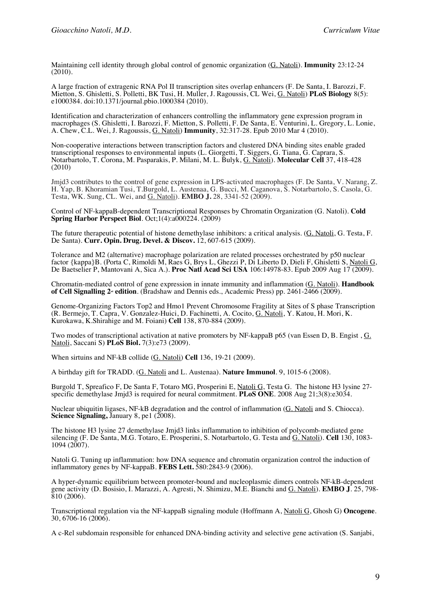Maintaining cell identity through global control of genomic organization (G. Natoli). **Immunity** 23:12-24 (2010).

A large fraction of extragenic RNA Pol II transcription sites overlap enhancers (F. De Santa, I. Barozzi, F. Mietton, S. Ghisletti, S. Polletti, BK Tusi, H. Muller, J. Ragoussis, CL Wei, G. Natoli) **PLoS Biology** 8(5): e1000384. doi:10.1371/journal.pbio.1000384 (2010).

Identification and characterization of enhancers controlling the inflammatory gene expression program in macrophages (S. Ghisletti, I. Barozzi, F. Mietton, S. Polletti, F. De Santa, E. Venturini, L. Gregory, L. Lonie, A. Chew, C.L. Wei, J. Ragoussis, G. Natoli) **Immunity**, 32:317-28. Epub 2010 Mar 4 (2010).

Non-cooperative interactions between transcription factors and clustered DNA binding sites enable graded transcriptional responses to environmental inputs (L. Giorgetti, T. Siggers, G. Tiana, G. Caprara, S. Notarbartolo, T. Corona, M. Pasparakis, P. Milani, M. L. Bulyk, G. Natoli). **Molecular Cell** 37, 418-428 (2010)

Jmjd3 contributes to the control of gene expression in LPS-activated macrophages (F. De Santa, V. Narang, Z. H. Yap, B. Khoramian Tusi, T.Burgold, L. Austenaa, G. Bucci, M. Caganova, S. Notarbartolo, S. Casola, G. Testa, WK. Sung, CL. Wei, and G. Natoli). **EMBO J.** 28, 3341-52 (2009).

Control of NF-kappaB-dependent Transcriptional Responses by Chromatin Organization (G. Natoli). **Cold Spring Harbor Perspect Biol.** Oct;1(4):a000224. (2009)

The future therapeutic potential of histone demethylase inhibitors: a critical analysis. (G. Natoli, G. Testa, F. De Santa). **Curr. Opin. Drug. Devel. & Discov.** 12, 607-615 (2009).

Tolerance and M2 (alternative) macrophage polarization are related processes orchestrated by p50 nuclear factor {kappa}B. (Porta C, Rimoldi M, Raes G, Brys L, Ghezzi P, Di Liberto D, Dieli F, Ghisletti S, Natoli G, De Baetselier P, Mantovani A, Sica A.). **Proc Natl Acad Sci USA** 106:14978-83. Epub 2009 Aug 17 (2009).

Chromatin-mediated control of gene expression in innate immunity and inflammation (G. Natoli). **Handbook of Cell Signalling 2<sup>n</sup> edition**. (Bradshaw and Dennis eds., Academic Press) pp. 2461-2466 (2009).

Genome-Organizing Factors Top2 and Hmo1 Prevent Chromosome Fragility at Sites of S phase Transcription (R. Bermejo, T. Capra, V. Gonzalez-Huici, D. Fachinetti, A. Cocito, G. Natoli, Y. Katou, H. Mori, K. Kurokawa, K.Shirahige and M. Foiani) **Cell** 138, 870-884 (2009).

Two modes of transcriptional activation at native promoters by NF-kappaB p65 (van Essen D, B. Engist , G. Natoli, Saccani S) **PLoS Biol.** 7(3):e73 (2009).

When sirtuins and NF-kB collide (G. Natoli) **Cell** 136, 19-21 (2009).

A birthday gift for TRADD. (G. Natoli and L. Austenaa). **Nature Immunol**. 9, 1015-6 (2008).

Burgold T, Spreafico F, De Santa F, Totaro MG, Prosperini E, Natoli G, Testa G. The histone H3 lysine 27- specific demethylase Jmjd3 is required for neural commitment. **PLoS ONE**. 2008 Aug 21;3(8):e3034.

Nuclear ubiquitin ligases, NF-kB degradation and the control of inflammation (G. Natoli and S. Chiocca). **Science Signaling,** January 8, pe1 (2008).

The histone H3 lysine 27 demethylase Jmjd3 links inflammation to inhibition of polycomb-mediated gene silencing (F. De Santa, M.G. Totaro, E. Prosperini, S. Notarbartolo, G. Testa and G. Natoli). **Cell** 130, 1083- 1094 (2007).

Natoli G. Tuning up inflammation: how DNA sequence and chromatin organization control the induction of inflammatory genes by NF-kappaB. **FEBS Lett.** 580:2843-9 (2006).

A hyper-dynamic equilibrium between promoter-bound and nucleoplasmic dimers controls NF-kB-dependent gene activity (D. Bosisio, I. Marazzi, A. Agresti, N. Shimizu, M.E. Bianchi and G. Natoli). **EMBO J**. 25, 798-  $810(2006)$ .

Transcriptional regulation via the NF-kappaB signaling module (Hoffmann A, Natoli G, Ghosh G) **Oncogene**. 30, 6706-16 (2006).

A c-Rel subdomain responsible for enhanced DNA-binding activity and selective gene activation (S. Sanjabi,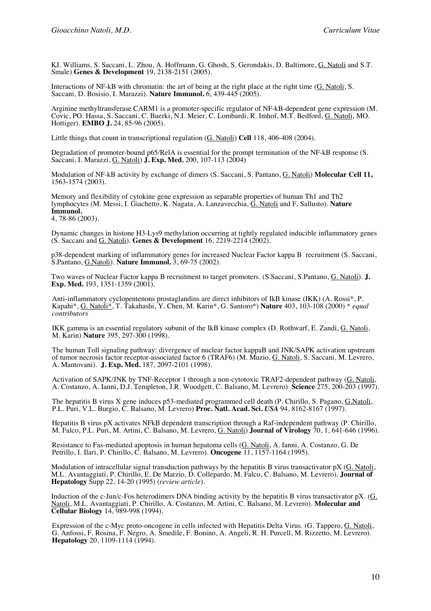KJ. Williams, S. Saccani, L. Zhou, A. Hoffmann, G. Ghosh, S. Gerondakis, D. Baltimore, G. Natoli and S.T. Smale) **Genes & Development** 19, 2138-2151 (2005).

Interactions of NF-kB with chromatin: the art of being at the right place at the right time (G. Natoli, S. Saccani, D. Bosisio, I. Marazzi). **Nature Immunol.** 6, 439-445 (2005).

Arginine methyltransferase CARM1 is a promoter-specific regulator of NF-kB-dependent gene expression (M. Covic, PO. Hassa, S. Saccani, C. Buerki, N.I. Meier, C. Lombardi, R. Imhof, M.T. Bedford, G. Natoli, MO. Hottiger). **EMBO J.** 24, 85-96 (2005).

Little things that count in transcriptional regulation (G. Natoli) **Cell** 118, 406-408 (2004).

Degradation of promoter-bound p65/RelA is essential for the prompt termination of the NF-kB response (S. Saccani, I. Marazzi, G. Natoli) **J. Exp. Med.** 200, 107-113 (2004)

Modulation of NF-kB activity by exchange of dimers (S. Saccani, S. Pantano, G. Natoli) **Molecular Cell 11,**  1563-1574 (2003).

Memory and flexibility of cytokine gene expression as separable properties of human Th1 and Th2 lymphocytes (M. Messi, I. Giachetto, K. Nagata, A. Lanzavecchia, G. Natoli and F. Sallusto). **Nature Immunol.** 4, 78-86 (2003).

Dynamic changes in histone H3-Lys9 methylation occurring at tightly regulated inducible inflammatory genes (S. Saccani and G. Natoli). **Genes & Development** 16, 2219-2214 (2002).

p38-dependent marking of inflammatory genes for increased Nuclear Factor kappa B recruitment (S. Saccani, S.Pantano, G.Natoli). **Nature Immunol.** 3, 69-75 (2002).

Two waves of Nuclear Factor kappa B recruitment to target promoters. (S.Saccani, S.Pantano, G. Natoli). **J. Exp. Med.** 193, 1351-1359 (2001).

Anti-inflammatory cyclopentenons prostaglandins are direct inhibitors of IkB kinase (IKK) (A. Rossi\*, P. Kapahi\*, G. Natoli\*, T. Takahashi, Y. Chen, M. Karin\*, G. Santoro\*) **Nature** 403, 103-108 (2000) *\* equal contributors*

IKK gamma is an essential regulatory subunit of the IkB kinase complex (D. Rothwarf, E. Zandi, G. Natoli, M. Karin) **Nature** 395, 297-300 (1998).

The human Toll signaling pathway: divergence of nuclear factor kappaB and JNK/SAPK activation upstream of tumor necrosis factor receptor-associated factor 6 (TRAF6) (M. Muzio, G. Natoli, S. Saccani, M. Levrero, A. Mantovani). **J. Exp. Med.** 187, 2097-2101 (1998).

Activation of SAPK/JNK by TNF-Receptor 1 through a non-cytotoxic TRAF2-dependent pathway (G. Natoli, A. Costanzo, A. Ianni, D.J. Templeton, J.R. Woodgett, C. Balsano, M. Levrero) **Science** 275, 200-203 (1997).

The hepatitis B virus X gene induces p53-mediated programmed cell death (P. Chirillo, S. Pagano, G.Natoli, P.L. Puri, V.L. Burgio, C. Balsano, M. Levrero) **Proc. Natl. Acad. Sci.** *USA* 94, 8162-8167 (1997).

Hepatitis B virus pX activates NFkB dependent transcription through a Raf-independent pathway (P. Chirillo, M. Falco, P.L. Puri, M. Artini, C. Balsano, M. Levrero, G. Natoli) **Journal of Virology** 70, 1, 641-646 (1996).

Resistance to Fas-mediated apoptosis in human hepatoma cells (G. Natoli, A. Ianni, A. Costanzo, G. De Petrillo, I. Ilari, P. Chirillo, C. Balsano, M. Levrero). **Oncogene** 11, 1157-1164 (1995).

Modulation of intracellular signal transduction pathways by the hepatitis B virus transactivator pX (G. Natoli, M.L. Avantaggiati, P. Chirillo, E. De Marzio, D. Collepardo, M. Falco, C. Balsano, M. Levrero). Journal of **Hepatology** Supp 22, 14-20 (1995) (*review article*).

Induction of the c-Jun/c-Fos heterodimers DNA binding activity by the hepatitis B virus transactivator pX. (G. Natoli, M.L. Avantaggiati, P. Chirillo, A. Costanzo, M. Artini, C. Balsano, M. Levrero). **Molecular and Cellular Biology** 14, 989-998 (1994).

Expression of the c-Myc proto-oncogene in cells infected with Hepatitis Delta Virus. (G. Tappero, G. Natoli, G. Anfossi, F. Rosina, F. Negro, A. Smedile, F. Bonino, A. Angeli, R. H. Purcell, M. Rizzetto, M. Levrero). **Hepatology** 20, 1109-1114 (1994).